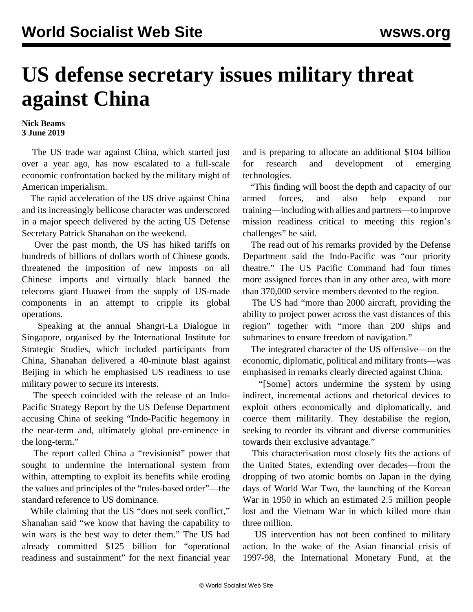## **US defense secretary issues military threat against China**

## **Nick Beams 3 June 2019**

 The US trade war against China, which started just over a year ago, has now escalated to a full-scale economic confrontation backed by the military might of American imperialism.

 The rapid acceleration of the US drive against China and its increasingly bellicose character was underscored in a major speech delivered by the acting US Defense Secretary Patrick Shanahan on the weekend.

 Over the past month, the US has hiked tariffs on hundreds of billions of dollars worth of Chinese goods, threatened the imposition of new imposts on all Chinese imports and virtually black banned the telecoms giant Huawei from the supply of US-made components in an attempt to cripple its global operations.

 Speaking at the annual Shangri-La Dialogue in Singapore, organised by the International Institute for Strategic Studies, which included participants from China, Shanahan delivered a 40-minute blast against Beijing in which he emphasised US readiness to use military power to secure its interests.

 The speech coincided with the release of an Indo-Pacific Strategy Report by the US Defense Department accusing China of seeking "Indo-Pacific hegemony in the near-term and, ultimately global pre-eminence in the long-term."

 The report called China a "revisionist" power that sought to undermine the international system from within, attempting to exploit its benefits while eroding the values and principles of the "rules-based order"—the standard reference to US dominance.

 While claiming that the US "does not seek conflict," Shanahan said "we know that having the capability to win wars is the best way to deter them." The US had already committed \$125 billion for "operational readiness and sustainment" for the next financial year and is preparing to allocate an additional \$104 billion for research and development of emerging technologies.

 "This finding will boost the depth and capacity of our armed forces, and also help expand our training—including with allies and partners—to improve mission readiness critical to meeting this region's challenges" he said.

 The read out of his remarks provided by the Defense Department said the Indo-Pacific was "our priority theatre." The US Pacific Command had four times more assigned forces than in any other area, with more than 370,000 service members devoted to the region.

 The US had "more than 2000 aircraft, providing the ability to project power across the vast distances of this region" together with "more than 200 ships and submarines to ensure freedom of navigation."

 The integrated character of the US offensive—on the economic, diplomatic, political and military fronts—was emphasised in remarks clearly directed against China.

 "[Some] actors undermine the system by using indirect, incremental actions and rhetorical devices to exploit others economically and diplomatically, and coerce them militarily. They destabilise the region, seeking to reorder its vibrant and diverse communities towards their exclusive advantage."

 This characterisation most closely fits the actions of the United States, extending over decades—from the dropping of two atomic bombs on Japan in the dying days of World War Two, the launching of the Korean War in 1950 in which an estimated 2.5 million people lost and the Vietnam War in which killed more than three million.

 US intervention has not been confined to military action. In the wake of the Asian financial crisis of 1997-98, the International Monetary Fund, at the